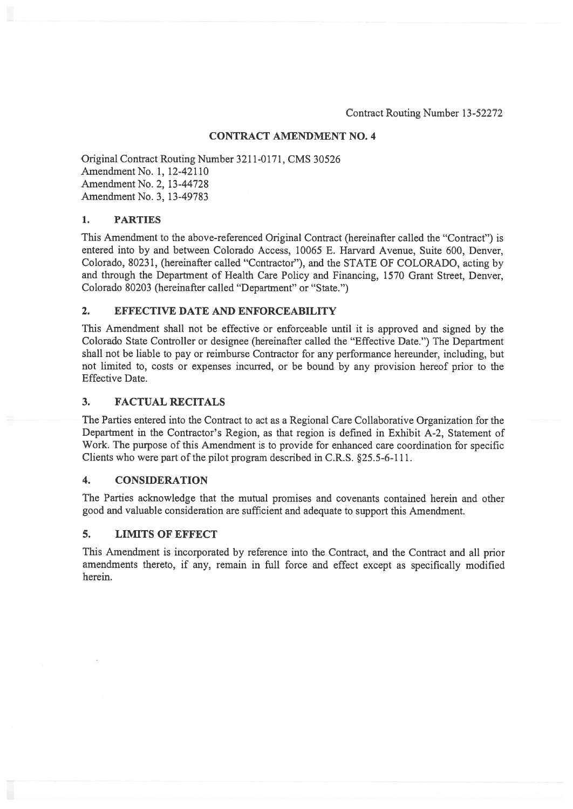### CONTRACT AMENDMENT NO.4

Original Contract Routing Number 3211-0171, CMS 30526 Amendment No. 1, 12-42110 Amendment No. 2, 13-44728 Amendment No. 3, 13-49783

### 1. PARTIES

This Amendment to the above-referenced Original Contract (hereinafter called the "Contract") is entered into by and between Colorado Access, 10065 E. Harvard Avenue, Suite 600, Denver, Colorado, 80231, (hereinafter called "Contractor"), and the STATE OF COLORADO, acting by and through the Department of Health Care Policy and Financing, 1570 Grant Street, Denver, Colorado 80203 (hereinafter called "Department" or "State.")

#### 2. EFFECTIVE DATE AND ENFORCEABILITY

This Amendment shall not be effective or enforceable until it is approved and signed by the Colorado State Controller or designee (hereinafter called the "Effective Date.") The Department shall not be liable to pay or reimburse Contractor for any performance hereunder, including, but not limited to, costs or expenses incurred, or be bound by any provision hereof prior to the Effective Date.

#### 3. FACTUAL RECITALS

The Parties entered into the Contract to act as <sup>a</sup> Regional Care Collaborative Organization for the Department in the Contractor's Region, as that region is defined in Exhibit A-2, Statement of Work. The purpose of this Amendment is to provide for enhanced care coordination for specific Clients who were par<sup>t</sup> of the pilot program described in C.R.S. §25.5-6-ill.

### 4. CONSIDERATION

The Parties acknowledge that the mutual promises and covenants contained herein and other good and valuable consideration are sufficient and adequate to suppor<sup>t</sup> this Amendment.

#### 5. LIMITS OF EFFECT

This Amendment is incorporated by reference into the Contract, and the Contract and all prior amendments thereto, if any, remain in full force and effect excep<sup>t</sup> as specifically modified herein.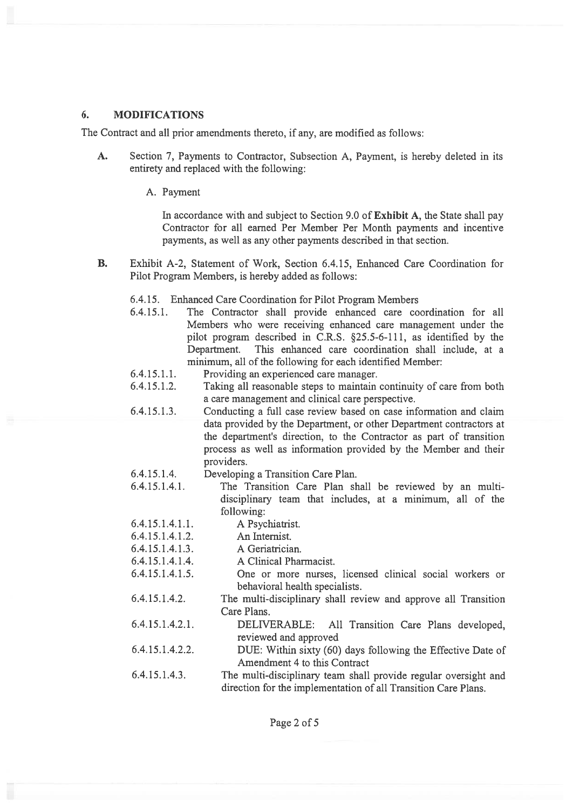### 6. MODIFICATIONS

The Contract and all prior amendments thereto, if any, are modified as follows:

- A. Section 7, Payments to Contractor, Subsection A, Payment, is hereby deleted in its entirety and replaced with the following:
	- A. Payment

In accordance with and subject to Section 9.0 of Exhibit A, the State shall pay Contractor for all earned Per Member Per Month payments and incentive payments, as well as any other payments described in that section.

- B. Exhibit A-2, Statement of Work, Section 6.4.15, Enhanced Care Coordination for Pilot Program Members, is hereby added as follows:
	- 6.4.15. Enhanced Care Coordination for Pilot Program Members
	- 6.4.15.1. The Contractor shall provide enhanced care coordination for all Members who were receiving enhanced care managemen<sup>t</sup> under the pilot program described in C.R.S. §25.5-6-111, as identified by the Department. This enhanced care coordination shall include, at <sup>a</sup> minimum, all of the following for each identified Member:
	- $6.4.15.1.1.$ Providing an experienced care manager.
	- 6.4.15.1.2. Taking all reasonable steps to maintain continuity of care from both <sup>a</sup> care managemen<sup>t</sup> and clinical care perspective.
	- 6.4. 15. 1.3. Conducting <sup>a</sup> full case review based on case information and claim data provided by the Department, or other Department contractors at the department's direction, to the Contractor as par<sup>t</sup> of transition process as well as information provided by the Member and their providers.
	- 6.4.15.1.4. Developing <sup>a</sup> Transition Care Plan.
	- $6.4.15.1.4.1.$ The Transition Care Plan shall be reviewed by an multidisciplinary team that includes, at <sup>a</sup> minimum, all of the following:
	- 6.4. 15. 1.4. 1. 1. A Psychiatrist.
	- 6.4. 15. 1.4. 1.2. An Internist.
	- 6.4. 15. 1.4. 1.3. A Geriatrician.
	- 6.4. 15. 1.4. 1.4. A Clinical Pharmacist.
	- 6.4. 15. 1.4. 1.5. One or more nurses, licensed clinical social workers or behavioral health specialists.
	- 6.4. 15. 1.4.2. The multi-disciplinary shall review and approve all Transition Care Plans.
	- 6.4. 15.1.4.2. 1. DELIVERABLE: All Transition Care Plans developed, reviewed and approved
	- 6.4.15.1.4.2.2. DUE: Within sixty (60) days following the Effective Date of Amendment 4 to this Contract
	- 6.4. 15. 1.4.3. The multi-disciplinary team shall provide regular oversight and direction for the implementation of all Transition Care Plans.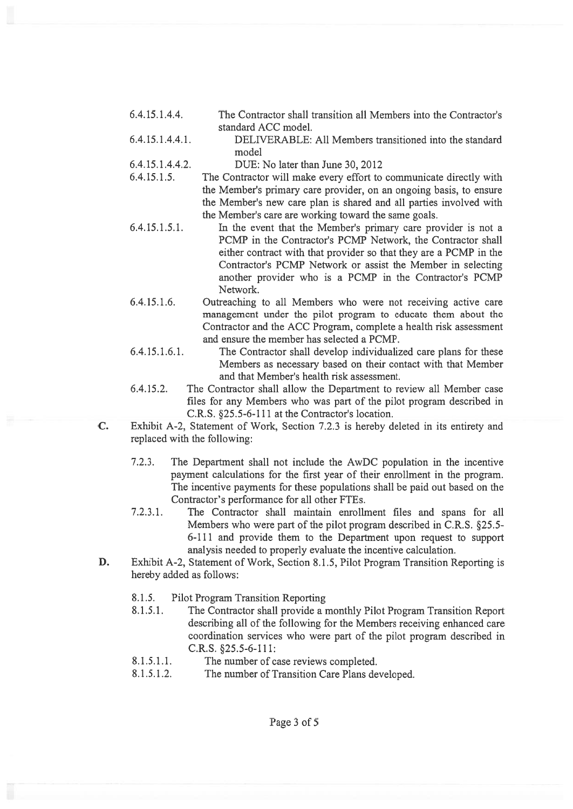- 6.4.15.1.4.4. The Contractor shall transition all Members into the Contractor's standard ACC model.
- 6.4.15.1.4.4.1. DELIVERABLE: All Members transitioned into the standard model
- 6.4.15.1.4.4.2. DUE: No later than June 30, 2012
- 6.4.15.1.5. The Contractor will make every effort to communicate directly with the Member's primary care provider, on an ongoing basis, to ensure the Member's new care plan is shared and all parties involved with the Member's care are working toward the same goals.
- 6.4.15.1.5.1. In the event that the Member's primary care provider is not <sup>a</sup> PCMP in the Contractor's PCMP Network, the Contractor shall either contract with that provider so that they are <sup>a</sup> PCMP in the Contractor's PCMP Network or assist the Member in selecting another provider who is <sup>a</sup> PCMP in the Contractor's PCMP Network.
- 6.4.15.1.6. Outreaching to all Members who were not receiving active care managemen<sup>t</sup> under the pilot program to educate them about the Contractor and the ACC Program, complete <sup>a</sup> health risk assessment and ensure the member has selected <sup>a</sup> PCMP.
- 6.4.15.1.6.1. The Contractor shall develop individualized care plans for these Members as necessary based on their contact with that Member and that Member's health risk assessment.
- 6.4.15.2. The Contractor shall allow the Department to review all Member case files for any Members who was par<sup>t</sup> of the pilot program described in C.R.S. §25.5-6-111 at the Contractor's location.
- C. Exhibit A-2, Statement of Work, Section 7.2.3 is hereby deleted in its entirety and replaced with the following:
	- 7.2.3. The Department shall not include the AwDC population in the incentive paymen<sup>t</sup> calculations for the first year of their enrollment in the program. The incentive payments for these populations shall be paid out based on the Contractor's performance for all other FTEs.
	- 7.2.3.1. The Contractor shall maintain enrollment files and spans for all Members who were par<sup>t</sup> of the pilot program described in C.R.S. §25.5- 6-111 and provide them to the Department upon reques<sup>t</sup> to suppor<sup>t</sup> analysis needed to properly evaluate the incentive calculation.
- D. Exhibit A-2, Statement of Work, Section 8.1.5, Pilot Program Transition Reporting is hereby added as follows:
	- 8.1.5. Pilot Program Transition Reporting
	- 8.1.5.1. The Contractor shall provide <sup>a</sup> monthly Pilot Program Transition Report describing all of the following for the Members receiving enhanced care coordination services who were par<sup>t</sup> of the pilot program described in C.R.S. §25.5-6-111:
	- 8.1.5.1.1. The number of case reviews completed.
	- 8.1.5.1.2. The number of Transition Care Plans developed.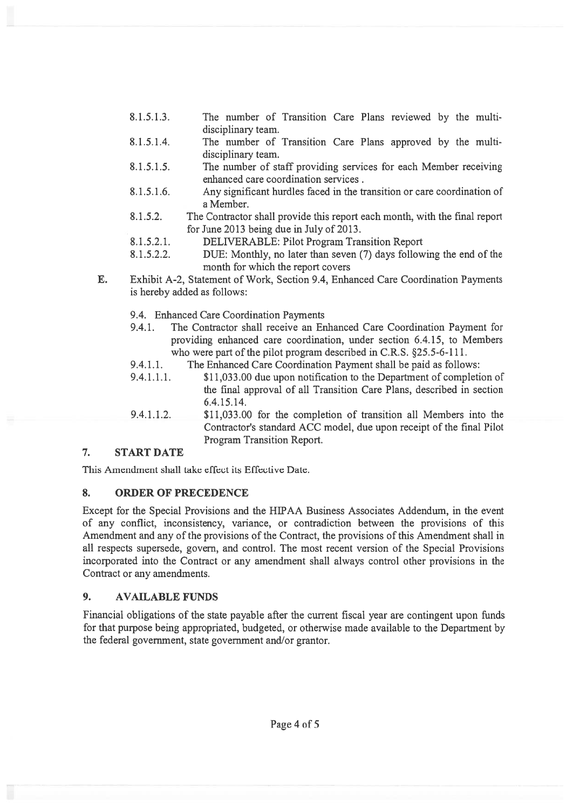- 8.1.5.1.3. The number of Transition Care Plans reviewed by the multi disciplinary team.
- 8.1.5.1.4. The number of Transition Care Plans approved by the multi disciplinary team.
- 8.1.5.1.5. The number of staff providing services for each Member receiving enhanced care coordination services.
- 8.1.5.1.6. Any significant hurdles faced in the transition or care coordination of <sup>a</sup> Member.
- 8.1.5.2. The Contractor shall provide this repor<sup>t</sup> each month, with the final repor<sup>t</sup> for June 2013 being due in July of 2013.
- 8.1.5.2.1. DELIVERABLE: Pilot Program Transition Report
- 8.1.5.2.2. DUE: Monthly, no later than seven (7) days following the end of the month for which the repor<sup>t</sup> covers
- E. Exhibit A-2, Statement of Work, Section 9.4, Enhanced Care Coordination Payments is hereby added as follows:
	- 9.4. Enhanced Care Coordination Payments
	- 9.4.1. The Contractor shall receive an Enhanced Care Coordination Payment for providing enhanced care coordination, under section 6.4.15, to Members who were part of the pilot program described in C.R.S. §25.5-6-111.
	- 9.4.1.1. The Enhanced Care Coordination Payment shall be paid as follows:
	- 9.4.1.1.1. \$11,033.00 due upon notification to the Department of completion of the final approval of all Transition Care Plans, described in section 6.4. 15.14.
	- 9.4.1.1.2. \$11,033.00 for the completion of transition all Members into the Contractor's standard ACC model, due upon receipt of the final Pilot Program Transition Report.

# 7. START DATE

This Amendment shall take effect its Effective Date.

# 8. ORDER OF PRECEDENCE

Except for the Special Provisions and the HJPAA Business Associates Addendum, in the event of any conflict, inconsistency, variance, or contradiction between the provisions of this Amendment and any of the provisions of the Contract, the provisions of this Amendment shall in all respects supersede, govern, and control. The most recent version of the Special Provisions incorporated into the Contract or any amendment shall always control other provisions in the Contract or any amendments.

# 9. AVAILABLE FUNDS

Financial obligations of the state payable after the current fiscal year are contingent upon funds for that purpose being appropriated, budgeted, or otherwise made available to the Department by the federal government, state governmen<sup>t</sup> and/or grantor.